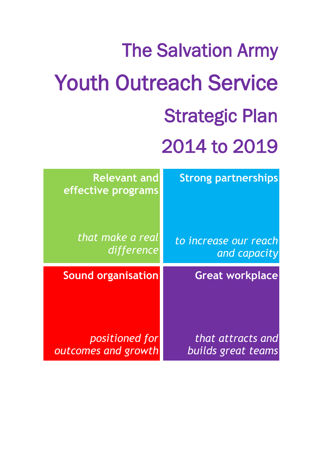## The Salvation Army Youth Outreach Service Strategic Plan 2014 to 2019 **Relevant and effective programs** *that make a real difference* **Strong partnerships** *to increase our reach and capacity* **Sound organisation** *positioned for*  **Great workplace** *that attracts and*

*builds great teams*

*outcomes and growth*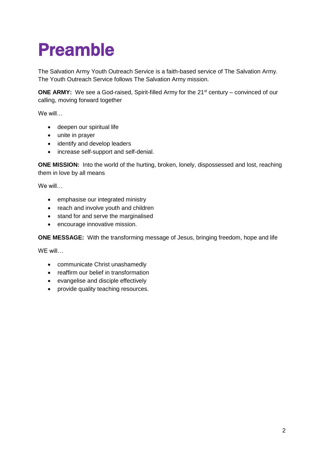### Preamble

The Salvation Army Youth Outreach Service is a faith-based service of The Salvation Army. The Youth Outreach Service follows The Salvation Army mission.

**ONE ARMY:** We see a God-raised, Spirit-filled Army for the 21<sup>st</sup> century – convinced of our calling, moving forward together

We will…

- deepen our spiritual life
- unite in prayer
- identify and develop leaders
- increase self-support and self-denial.

**ONE MISSION:** Into the world of the hurting, broken, lonely, dispossessed and lost, reaching them in love by all means

We will…

- emphasise our integrated ministry
- reach and involve youth and children
- stand for and serve the marginalised
- encourage innovative mission.

**ONE MESSAGE:** With the transforming message of Jesus, bringing freedom, hope and life

WE will…

- communicate Christ unashamedly
- reaffirm our belief in transformation
- evangelise and disciple effectively
- provide quality teaching resources.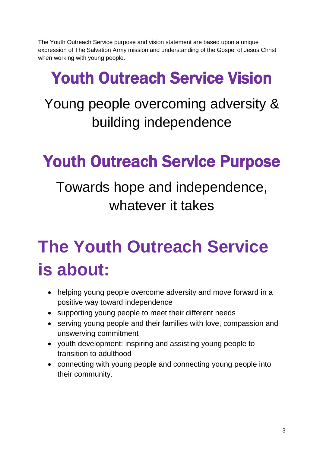The Youth Outreach Service purpose and vision statement are based upon a unique expression of The Salvation Army mission and understanding of the Gospel of Jesus Christ when working with young people.

### Youth Outreach Service Vision

#### Young people overcoming adversity & building independence

#### Youth Outreach Service Purpose

Towards hope and independence, whatever it takes

# **The Youth Outreach Service is about:**

- helping young people overcome adversity and move forward in a positive way toward independence
- supporting young people to meet their different needs
- serving young people and their families with love, compassion and unswerving commitment
- youth development: inspiring and assisting young people to transition to adulthood
- connecting with young people and connecting young people into their community.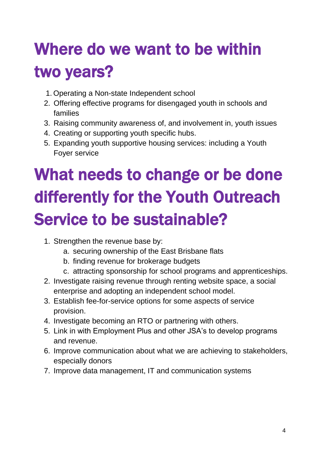# Where do we want to be within two years?

- 1. Operating a Non-state Independent school
- 2. Offering effective programs for disengaged youth in schools and families
- 3. Raising community awareness of, and involvement in, youth issues
- 4. Creating or supporting youth specific hubs.
- 5. Expanding youth supportive housing services: including a Youth Foyer service

# What needs to change or be done differently for the Youth Outreach Service to be sustainable?

- 1. Strengthen the revenue base by:
	- a. securing ownership of the East Brisbane flats
	- b. finding revenue for brokerage budgets
	- c. attracting sponsorship for school programs and apprenticeships.
- 2. Investigate raising revenue through renting website space, a social enterprise and adopting an independent school model.
- 3. Establish fee-for-service options for some aspects of service provision.
- 4. Investigate becoming an RTO or partnering with others.
- 5. Link in with Employment Plus and other JSA's to develop programs and revenue.
- 6. Improve communication about what we are achieving to stakeholders, especially donors
- 7. Improve data management, IT and communication systems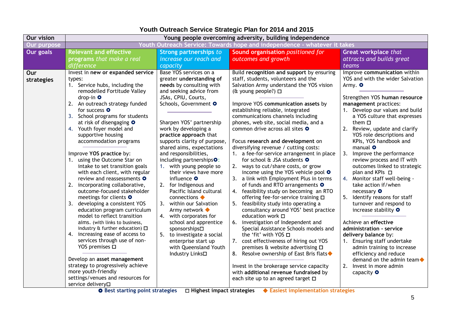#### **Youth Outreach Service Strategic Plan for 2014 and 2015**

| <u> Youth Outreach Service: Towards hope and independence - whatever it takes</u><br>Our purpose<br><b>Our goals</b><br><b>Relevant and effective</b><br>Sound organisation positioned for<br>Strong partnerships to<br>Great workplace that<br>attracts and builds great<br>programs that make a real<br>increase our reach and<br>outcomes and growth<br>difference<br>capacity<br>teams<br>Base YOS services on a<br>Invest in new or expanded service<br>Improve communication within<br>Build recognition and support by ensuring<br>Our<br>YOS and with the wider Salvation<br>greater understanding of<br>staff, students, volunteers and the<br>types:<br>strategies<br>needs by consulting with<br>Salvation Army understand the YOS vision<br>1. Service hubs, including the<br>Army. O<br>and seeking advice from<br>remodelled Fortitude Valley<br>(& young people?) $\Box$<br>JSAs, CPIU, Courts,<br>Strengthen YOS human resource<br>drop-in O<br>2. An outreach strategy funded<br>Schools, Government O<br>Improve YOS communication assets by<br>management practices:<br>for success O<br>establishing reliable, integrated<br>1. Develop our values and build<br>communications channels including<br>3. School programs for students<br>a YOS culture that expresses<br>Sharpen YOS' partnership<br>at risk of disengaging O<br>phones, web site, social media, and a<br>them $\square$<br>2.<br>4. Youth foyer model and<br>work by developing a<br>common drive across all sites O<br>Review, update and clarify<br>supportive housing<br>practice approach that<br>YOS role descriptions and<br>accommodation programs<br>KPIs, YOS handbook and<br>supports clarity of purpose,<br>Focus research and development on<br>diversifying revenue / cutting costs:<br>manual <b>O</b><br>shared aims, expectations<br>Improve YOS practice by:<br>and responsibilities,<br>1. a fee-for-service arrangement in place<br>3.<br>Improve the performance<br>1. using the Outcome Star on<br>including partnerships <sup>O:</sup><br>for school & JSA students O<br>review process and IT with<br>intake to set transition goals<br>1. with young people so<br>2. ways to cut/share costs, or grow<br>outcomes linked to strategic<br>their views have more<br>income using the YOS vehicle pool O<br>plan and KPIs □<br>with each client, with regular<br>review and reassessments O<br>influence O<br>3. a link with Employment Plus in terms<br>4. Monitor staff well-being -<br>2. incorporating collaborative,<br>2. for Indigenous and<br>of funds and RTO arrangements O<br>take action if/when<br>outcome-focused stakeholder<br>Pacific Island cultural<br>4. feasibility study on becoming an RTO<br>necessary <b>O</b><br>meetings for clients O<br>$connections \blacklozenge$<br>offering fee-for-service training □<br>5.<br>Identify reasons for staff<br>3.<br>developing a consistent YOS<br>3. within our Salvation<br>5. feasibility study into operating a<br>turnover and respond to<br>consultancy around YOS' best practice<br>increase stability O<br>education program curriculum<br>Army network <<br>model to reflect transition<br>4. with corporates for<br>education work $\square$<br>Achieve an effective<br>school and apprentice<br>6. investigation of Independent and<br>aims. (with links to business,<br>industry $\hat{a}$ further education) $\Box$<br>Special Assistance Schools models and<br>sponsorships□<br>administration - service<br>increasing ease of access to<br>4.<br>the 'fit' with YOS □<br>to investigate a social<br>delivery balance by:<br>5.<br>services through use of non-<br>7. cost effectiveness of hiring out YOS<br>1. Ensuring staff undertake<br>enterprise start up<br>YOS premises □<br>with Queensland Youth<br>premises $\&$ website advertising $\square$<br>admin training to increase<br>8. Resolve ownership of East Bris flats $\blacklozenge$<br>efficiency and reduce<br>Industry Links□<br>Develop an asset management<br>demand on the admin team $\blacklozenge$<br>strategy to progressively achieve<br>2.<br>Invest in the brokerage service capacity<br>Invest in more admin<br>more youth-friendly<br>with additional revenue fundraised by<br>capacity <b>O</b> | <b>Our vision</b> | Young people overcoming adversity, building independence |  |  |  |  |  |  |
|------------------------------------------------------------------------------------------------------------------------------------------------------------------------------------------------------------------------------------------------------------------------------------------------------------------------------------------------------------------------------------------------------------------------------------------------------------------------------------------------------------------------------------------------------------------------------------------------------------------------------------------------------------------------------------------------------------------------------------------------------------------------------------------------------------------------------------------------------------------------------------------------------------------------------------------------------------------------------------------------------------------------------------------------------------------------------------------------------------------------------------------------------------------------------------------------------------------------------------------------------------------------------------------------------------------------------------------------------------------------------------------------------------------------------------------------------------------------------------------------------------------------------------------------------------------------------------------------------------------------------------------------------------------------------------------------------------------------------------------------------------------------------------------------------------------------------------------------------------------------------------------------------------------------------------------------------------------------------------------------------------------------------------------------------------------------------------------------------------------------------------------------------------------------------------------------------------------------------------------------------------------------------------------------------------------------------------------------------------------------------------------------------------------------------------------------------------------------------------------------------------------------------------------------------------------------------------------------------------------------------------------------------------------------------------------------------------------------------------------------------------------------------------------------------------------------------------------------------------------------------------------------------------------------------------------------------------------------------------------------------------------------------------------------------------------------------------------------------------------------------------------------------------------------------------------------------------------------------------------------------------------------------------------------------------------------------------------------------------------------------------------------------------------------------------------------------------------------------------------------------------------------------------------------------------------------------------------------------------------------------------------------------------------------------------------------------------------------------------------------------------------------------------------------------------------------------------------------------------------------------------------------------------------------------------------------------------------------------------------------------------------------------------------------------------------------------------------------------------------------------------------------------------------------------------------------------------------------------------------------------------------------|-------------------|----------------------------------------------------------|--|--|--|--|--|--|
|                                                                                                                                                                                                                                                                                                                                                                                                                                                                                                                                                                                                                                                                                                                                                                                                                                                                                                                                                                                                                                                                                                                                                                                                                                                                                                                                                                                                                                                                                                                                                                                                                                                                                                                                                                                                                                                                                                                                                                                                                                                                                                                                                                                                                                                                                                                                                                                                                                                                                                                                                                                                                                                                                                                                                                                                                                                                                                                                                                                                                                                                                                                                                                                                                                                                                                                                                                                                                                                                                                                                                                                                                                                                                                                                                                                                                                                                                                                                                                                                                                                                                                                                                                                                                                                                        |                   |                                                          |  |  |  |  |  |  |
|                                                                                                                                                                                                                                                                                                                                                                                                                                                                                                                                                                                                                                                                                                                                                                                                                                                                                                                                                                                                                                                                                                                                                                                                                                                                                                                                                                                                                                                                                                                                                                                                                                                                                                                                                                                                                                                                                                                                                                                                                                                                                                                                                                                                                                                                                                                                                                                                                                                                                                                                                                                                                                                                                                                                                                                                                                                                                                                                                                                                                                                                                                                                                                                                                                                                                                                                                                                                                                                                                                                                                                                                                                                                                                                                                                                                                                                                                                                                                                                                                                                                                                                                                                                                                                                                        |                   |                                                          |  |  |  |  |  |  |
|                                                                                                                                                                                                                                                                                                                                                                                                                                                                                                                                                                                                                                                                                                                                                                                                                                                                                                                                                                                                                                                                                                                                                                                                                                                                                                                                                                                                                                                                                                                                                                                                                                                                                                                                                                                                                                                                                                                                                                                                                                                                                                                                                                                                                                                                                                                                                                                                                                                                                                                                                                                                                                                                                                                                                                                                                                                                                                                                                                                                                                                                                                                                                                                                                                                                                                                                                                                                                                                                                                                                                                                                                                                                                                                                                                                                                                                                                                                                                                                                                                                                                                                                                                                                                                                                        |                   |                                                          |  |  |  |  |  |  |
|                                                                                                                                                                                                                                                                                                                                                                                                                                                                                                                                                                                                                                                                                                                                                                                                                                                                                                                                                                                                                                                                                                                                                                                                                                                                                                                                                                                                                                                                                                                                                                                                                                                                                                                                                                                                                                                                                                                                                                                                                                                                                                                                                                                                                                                                                                                                                                                                                                                                                                                                                                                                                                                                                                                                                                                                                                                                                                                                                                                                                                                                                                                                                                                                                                                                                                                                                                                                                                                                                                                                                                                                                                                                                                                                                                                                                                                                                                                                                                                                                                                                                                                                                                                                                                                                        |                   |                                                          |  |  |  |  |  |  |
| each site up to an agreed target □<br>service delivery <sup>II</sup>                                                                                                                                                                                                                                                                                                                                                                                                                                                                                                                                                                                                                                                                                                                                                                                                                                                                                                                                                                                                                                                                                                                                                                                                                                                                                                                                                                                                                                                                                                                                                                                                                                                                                                                                                                                                                                                                                                                                                                                                                                                                                                                                                                                                                                                                                                                                                                                                                                                                                                                                                                                                                                                                                                                                                                                                                                                                                                                                                                                                                                                                                                                                                                                                                                                                                                                                                                                                                                                                                                                                                                                                                                                                                                                                                                                                                                                                                                                                                                                                                                                                                                                                                                                                   |                   | settings/venues and resources for                        |  |  |  |  |  |  |